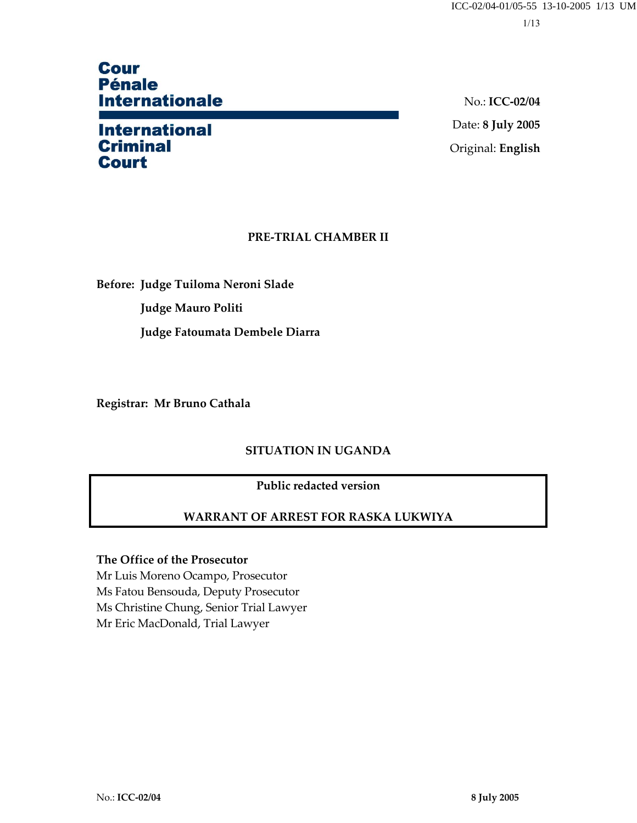# **Cour Pénale Internationale**

# **International Criminal Court**

No.: **ICC-02/04** Date: **8 July 2005** Original: **English** 

# **PRE-TRIAL CHAMBER II**

**Before: Judge Tuiloma Neroni Slade Judge Mauro Politi Judge Fatoumata Dembele Diarra** 

**Registrar: Mr Bruno Cathala** 

# **SITUATION IN UGANDA**

# **Public redacted version**

# **WARRANT OF ARREST FOR RASKA LUKWIYA**

#### **The Office of the Prosecutor**

Mr Luis Moreno Ocampo, Prosecutor Ms Fatou Bensouda, Deputy Prosecutor Ms Christine Chung, Senior Trial Lawyer Mr Eric MacDonald, Trial Lawyer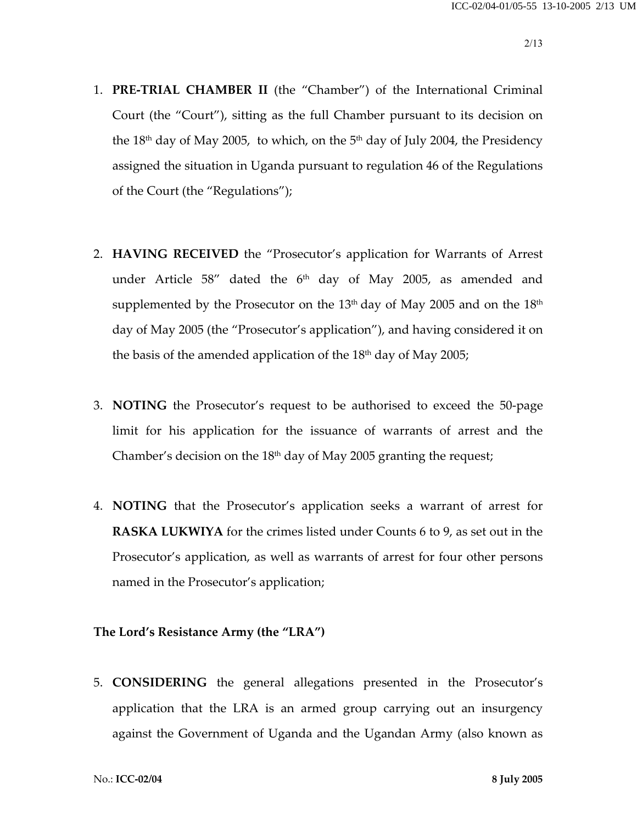- 1. **PRE-TRIAL CHAMBER II** (the "Chamber") of the International Criminal Court (the "Court"), sitting as the full Chamber pursuant to its decision on the  $18<sup>th</sup>$  day of May 2005, to which, on the  $5<sup>th</sup>$  day of July 2004, the Presidency assigned the situation in Uganda pursuant to regulation 46 of the Regulations of the Court (the "Regulations");
- 2. **HAVING RECEIVED** the "Prosecutor's application for Warrants of Arrest under Article  $58''$  dated the  $6<sup>th</sup>$  day of May 2005, as amended and supplemented by the Prosecutor on the  $13<sup>th</sup>$  day of May 2005 and on the  $18<sup>th</sup>$ day of May 2005 (the "Prosecutor's application"), and having considered it on the basis of the amended application of the  $18<sup>th</sup>$  day of May 2005;
- 3. **NOTING** the Prosecutor's request to be authorised to exceed the 50-page limit for his application for the issuance of warrants of arrest and the Chamber's decision on the  $18<sup>th</sup>$  day of May 2005 granting the request;
- 4. **NOTING** that the Prosecutor's application seeks a warrant of arrest for **RASKA LUKWIYA** for the crimes listed under Counts 6 to 9, as set out in the Prosecutor's application, as well as warrants of arrest for four other persons named in the Prosecutor's application;

#### **The Lord's Resistance Army (the "LRA")**

5. **CONSIDERING** the general allegations presented in the Prosecutor's application that the LRA is an armed group carrying out an insurgency against the Government of Uganda and the Ugandan Army (also known as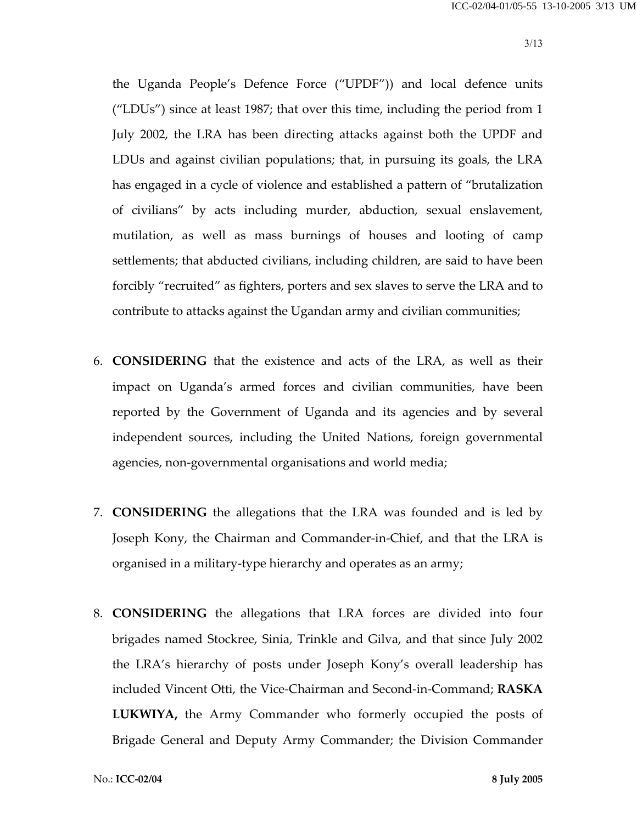the Uganda People's Defence Force ("UPDF")) and local defence units ("LDUs") since at least 1987; that over this time, including the period from 1 July 2002, the LRA has been directing attacks against both the UPDF and LDUs and against civilian populations; that, in pursuing its goals, the LRA has engaged in a cycle of violence and established a pattern of "brutalization of civilians" by acts including murder, abduction, sexual enslavement, mutilation, as well as mass burnings of houses and looting of camp settlements; that abducted civilians, including children, are said to have been forcibly "recruited" as fighters, porters and sex slaves to serve the LRA and to contribute to attacks against the Ugandan army and civilian communities;

- 6. **CONSIDERING** that the existence and acts of the LRA, as well as their impact on Uganda's armed forces and civilian communities, have been reported by the Government of Uganda and its agencies and by several independent sources, including the United Nations, foreign governmental agencies, non-governmental organisations and world media;
- 7. **CONSIDERING** the allegations that the LRA was founded and is led by Joseph Kony, the Chairman and Commander-in-Chief, and that the LRA is organised in a military-type hierarchy and operates as an army;
- 8. **CONSIDERING** the allegations that LRA forces are divided into four brigades named Stockree, Sinia, Trinkle and Gilva, and that since July 2002 the LRA's hierarchy of posts under Joseph Kony's overall leadership has included Vincent Otti, the Vice-Chairman and Second-in-Command; **RASKA LUKWIYA,** the Army Commander who formerly occupied the posts of Brigade General and Deputy Army Commander; the Division Commander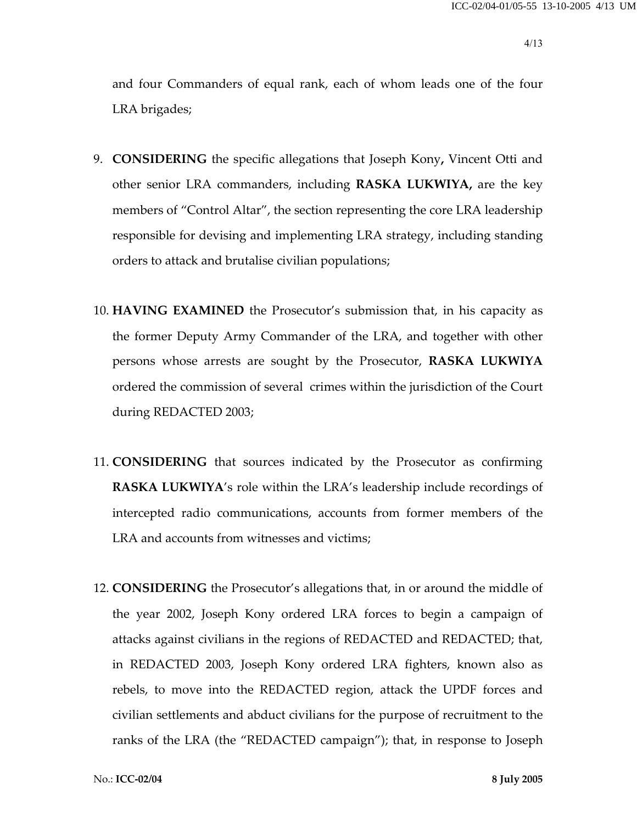and four Commanders of equal rank, each of whom leads one of the four LRA brigades;

- 9. **CONSIDERING** the specific allegations that Joseph Kony**,** Vincent Otti and other senior LRA commanders, including **RASKA LUKWIYA,** are the key members of "Control Altar", the section representing the core LRA leadership responsible for devising and implementing LRA strategy, including standing orders to attack and brutalise civilian populations;
- 10. **HAVING EXAMINED** the Prosecutor's submission that, in his capacity as the former Deputy Army Commander of the LRA, and together with other persons whose arrests are sought by the Prosecutor, **RASKA LUKWIYA**  ordered the commission of several crimes within the jurisdiction of the Court during REDACTED 2003;
- 11. **CONSIDERING** that sources indicated by the Prosecutor as confirming **RASKA LUKWIYA**'s role within the LRA's leadership include recordings of intercepted radio communications, accounts from former members of the LRA and accounts from witnesses and victims;
- 12. **CONSIDERING** the Prosecutor's allegations that, in or around the middle of the year 2002, Joseph Kony ordered LRA forces to begin a campaign of attacks against civilians in the regions of REDACTED and REDACTED; that, in REDACTED 2003, Joseph Kony ordered LRA fighters, known also as rebels, to move into the REDACTED region, attack the UPDF forces and civilian settlements and abduct civilians for the purpose of recruitment to the ranks of the LRA (the "REDACTED campaign"); that, in response to Joseph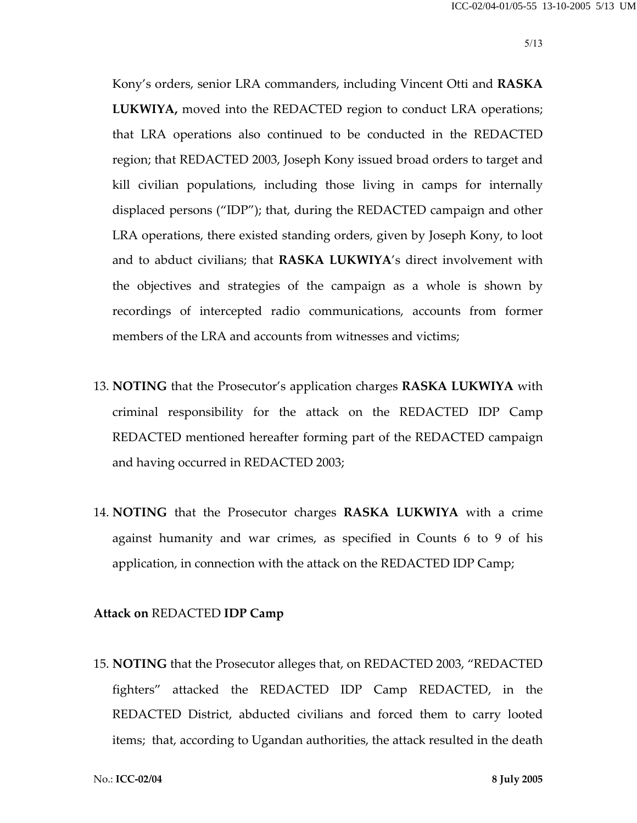Kony's orders, senior LRA commanders, including Vincent Otti and **RASKA LUKWIYA,** moved into the REDACTED region to conduct LRA operations; that LRA operations also continued to be conducted in the REDACTED region; that REDACTED 2003, Joseph Kony issued broad orders to target and kill civilian populations, including those living in camps for internally displaced persons ("IDP"); that, during the REDACTED campaign and other LRA operations, there existed standing orders, given by Joseph Kony, to loot and to abduct civilians; that **RASKA LUKWIYA**'s direct involvement with the objectives and strategies of the campaign as a whole is shown by recordings of intercepted radio communications, accounts from former members of the LRA and accounts from witnesses and victims;

- 13. **NOTING** that the Prosecutor's application charges **RASKA LUKWIYA** with criminal responsibility for the attack on the REDACTED IDP Camp REDACTED mentioned hereafter forming part of the REDACTED campaign and having occurred in REDACTED 2003;
- 14. **NOTING** that the Prosecutor charges **RASKA LUKWIYA** with a crime against humanity and war crimes, as specified in Counts 6 to 9 of his application, in connection with the attack on the REDACTED IDP Camp;

#### **Attack on** REDACTED **IDP Camp**

15. **NOTING** that the Prosecutor alleges that, on REDACTED 2003, "REDACTED fighters" attacked the REDACTED IDP Camp REDACTED, in the REDACTED District, abducted civilians and forced them to carry looted items; that, according to Ugandan authorities, the attack resulted in the death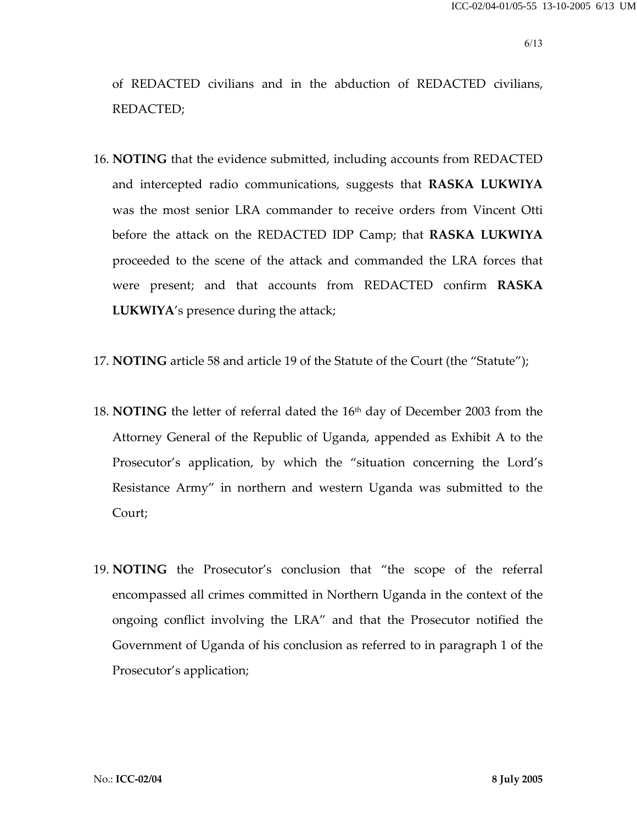of REDACTED civilians and in the abduction of REDACTED civilians, REDACTED;

- 16. **NOTING** that the evidence submitted, including accounts from REDACTED and intercepted radio communications, suggests that **RASKA LUKWIYA** was the most senior LRA commander to receive orders from Vincent Otti before the attack on the REDACTED IDP Camp; that **RASKA LUKWIYA** proceeded to the scene of the attack and commanded the LRA forces that were present; and that accounts from REDACTED confirm **RASKA LUKWIYA**'s presence during the attack;
- 17. **NOTING** article 58 and article 19 of the Statute of the Court (the "Statute");
- 18. **NOTING** the letter of referral dated the 16<sup>th</sup> day of December 2003 from the Attorney General of the Republic of Uganda, appended as Exhibit A to the Prosecutor's application, by which the "situation concerning the Lord's Resistance Army" in northern and western Uganda was submitted to the Court;
- 19. **NOTING** the Prosecutor's conclusion that "the scope of the referral encompassed all crimes committed in Northern Uganda in the context of the ongoing conflict involving the LRA" and that the Prosecutor notified the Government of Uganda of his conclusion as referred to in paragraph 1 of the Prosecutor's application;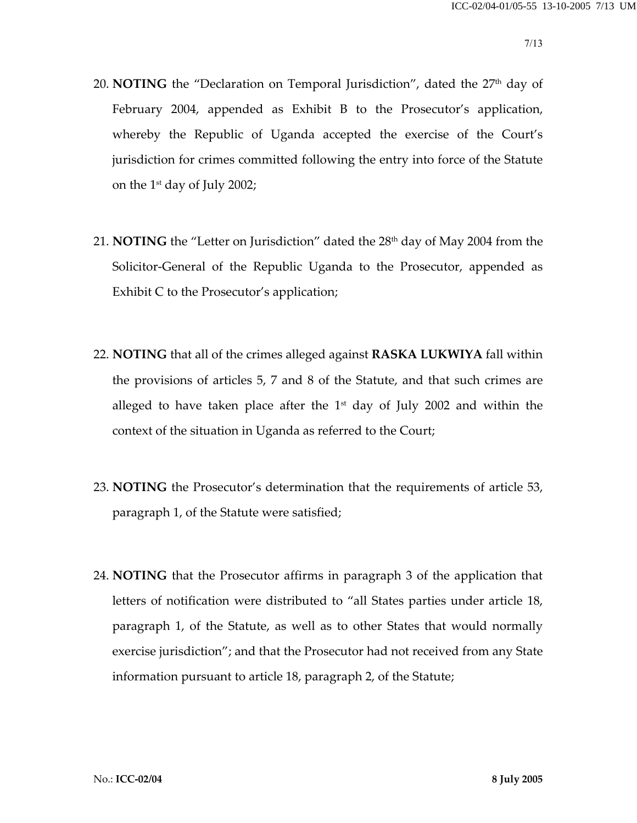- 20. **NOTING** the "Declaration on Temporal Jurisdiction", dated the 27<sup>th</sup> day of February 2004, appended as Exhibit B to the Prosecutor's application, whereby the Republic of Uganda accepted the exercise of the Court's jurisdiction for crimes committed following the entry into force of the Statute on the 1<sup>st</sup> day of July 2002;
- 21. **NOTING** the "Letter on Jurisdiction" dated the 28th day of May 2004 from the Solicitor-General of the Republic Uganda to the Prosecutor, appended as Exhibit C to the Prosecutor's application;
- 22. **NOTING** that all of the crimes alleged against **RASKA LUKWIYA** fall within the provisions of articles 5, 7 and 8 of the Statute, and that such crimes are alleged to have taken place after the  $1<sup>st</sup>$  day of July 2002 and within the context of the situation in Uganda as referred to the Court;
- 23. **NOTING** the Prosecutor's determination that the requirements of article 53, paragraph 1, of the Statute were satisfied;
- 24. **NOTING** that the Prosecutor affirms in paragraph 3 of the application that letters of notification were distributed to "all States parties under article 18, paragraph 1, of the Statute, as well as to other States that would normally exercise jurisdiction"; and that the Prosecutor had not received from any State information pursuant to article 18, paragraph 2, of the Statute;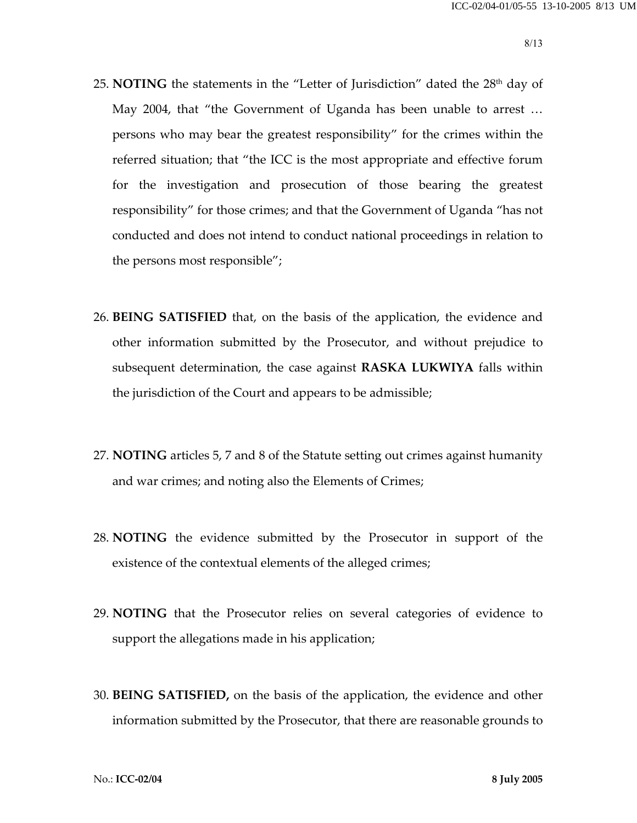- 25. **NOTING** the statements in the "Letter of Jurisdiction" dated the  $28<sup>th</sup>$  day of May 2004, that "the Government of Uganda has been unable to arrest … persons who may bear the greatest responsibility" for the crimes within the referred situation; that "the ICC is the most appropriate and effective forum for the investigation and prosecution of those bearing the greatest responsibility" for those crimes; and that the Government of Uganda "has not conducted and does not intend to conduct national proceedings in relation to the persons most responsible";
- 26. **BEING SATISFIED** that, on the basis of the application, the evidence and other information submitted by the Prosecutor, and without prejudice to subsequent determination, the case against **RASKA LUKWIYA** falls within the jurisdiction of the Court and appears to be admissible;
- 27. **NOTING** articles 5, 7 and 8 of the Statute setting out crimes against humanity and war crimes; and noting also the Elements of Crimes;
- 28. **NOTING** the evidence submitted by the Prosecutor in support of the existence of the contextual elements of the alleged crimes;
- 29. **NOTING** that the Prosecutor relies on several categories of evidence to support the allegations made in his application;
- 30. **BEING SATISFIED,** on the basis of the application, the evidence and other information submitted by the Prosecutor, that there are reasonable grounds to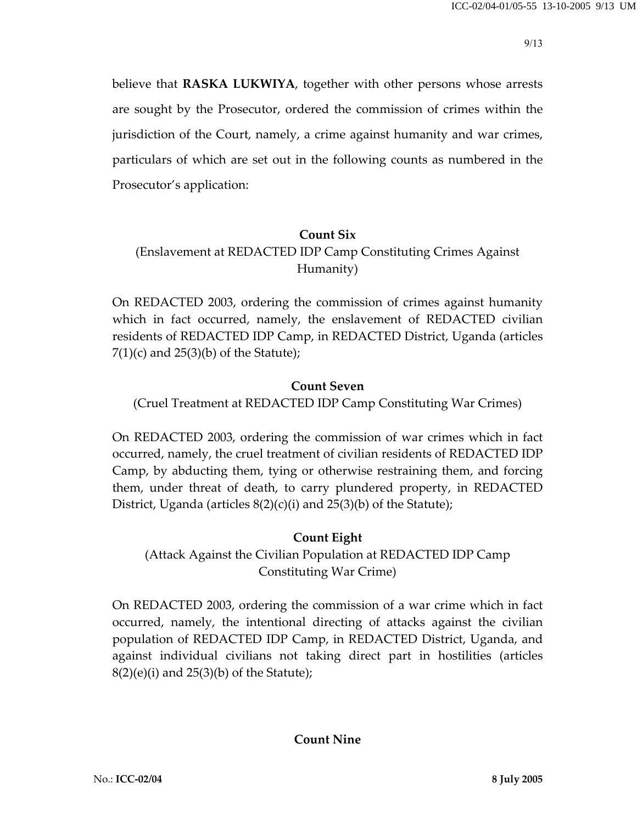believe that **RASKA LUKWIYA**, together with other persons whose arrests are sought by the Prosecutor, ordered the commission of crimes within the jurisdiction of the Court, namely, a crime against humanity and war crimes, particulars of which are set out in the following counts as numbered in the Prosecutor's application:

#### **Count Six**

# (Enslavement at REDACTED IDP Camp Constituting Crimes Against Humanity)

On REDACTED 2003, ordering the commission of crimes against humanity which in fact occurred, namely, the enslavement of REDACTED civilian residents of REDACTED IDP Camp, in REDACTED District, Uganda (articles  $7(1)(c)$  and  $25(3)(b)$  of the Statute);

# **Count Seven**

(Cruel Treatment at REDACTED IDP Camp Constituting War Crimes)

On REDACTED 2003, ordering the commission of war crimes which in fact occurred, namely, the cruel treatment of civilian residents of REDACTED IDP Camp, by abducting them, tying or otherwise restraining them, and forcing them, under threat of death, to carry plundered property, in REDACTED District, Uganda (articles  $8(2)(c)(i)$  and  $25(3)(b)$  of the Statute);

# **Count Eight**

(Attack Against the Civilian Population at REDACTED IDP Camp Constituting War Crime)

On REDACTED 2003, ordering the commission of a war crime which in fact occurred, namely, the intentional directing of attacks against the civilian population of REDACTED IDP Camp, in REDACTED District, Uganda, and against individual civilians not taking direct part in hostilities (articles  $8(2)(e)(i)$  and  $25(3)(b)$  of the Statute);

# **Count Nine**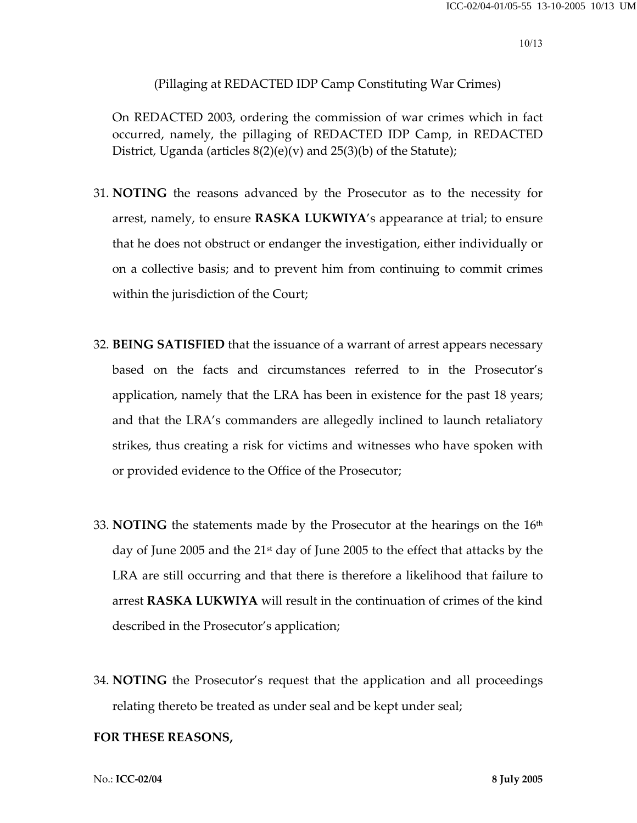### (Pillaging at REDACTED IDP Camp Constituting War Crimes)

On REDACTED 2003, ordering the commission of war crimes which in fact occurred, namely, the pillaging of REDACTED IDP Camp, in REDACTED District, Uganda (articles  $8(2)(e)(v)$  and  $25(3)(b)$  of the Statute);

- 31. **NOTING** the reasons advanced by the Prosecutor as to the necessity for arrest, namely, to ensure **RASKA LUKWIYA**'s appearance at trial; to ensure that he does not obstruct or endanger the investigation, either individually or on a collective basis; and to prevent him from continuing to commit crimes within the jurisdiction of the Court;
- 32. **BEING SATISFIED** that the issuance of a warrant of arrest appears necessary based on the facts and circumstances referred to in the Prosecutor's application, namely that the LRA has been in existence for the past 18 years; and that the LRA's commanders are allegedly inclined to launch retaliatory strikes, thus creating a risk for victims and witnesses who have spoken with or provided evidence to the Office of the Prosecutor;
- 33. **NOTING** the statements made by the Prosecutor at the hearings on the 16<sup>th</sup> day of June 2005 and the 21<sup>st</sup> day of June 2005 to the effect that attacks by the LRA are still occurring and that there is therefore a likelihood that failure to arrest **RASKA LUKWIYA** will result in the continuation of crimes of the kind described in the Prosecutor's application;
- 34. **NOTING** the Prosecutor's request that the application and all proceedings relating thereto be treated as under seal and be kept under seal;

#### **FOR THESE REASONS,**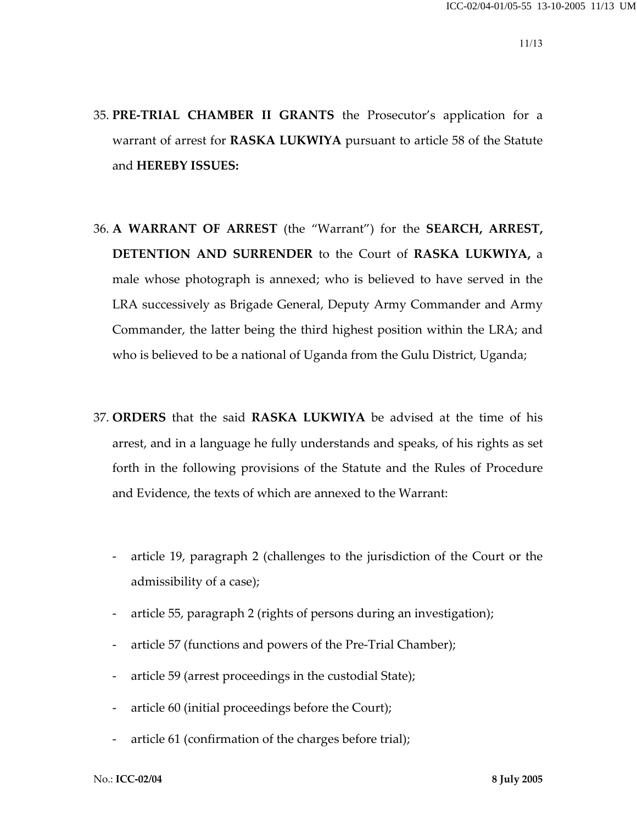- 35. **PRE-TRIAL CHAMBER II GRANTS** the Prosecutor's application for a warrant of arrest for **RASKA LUKWIYA** pursuant to article 58 of the Statute and **HEREBY ISSUES:**
- 36. **A WARRANT OF ARREST** (the "Warrant") for the **SEARCH, ARREST, DETENTION AND SURRENDER** to the Court of **RASKA LUKWIYA,** a male whose photograph is annexed; who is believed to have served in the LRA successively as Brigade General, Deputy Army Commander and Army Commander, the latter being the third highest position within the LRA; and who is believed to be a national of Uganda from the Gulu District, Uganda;
- 37. **ORDERS** that the said **RASKA LUKWIYA** be advised at the time of his arrest, and in a language he fully understands and speaks, of his rights as set forth in the following provisions of the Statute and the Rules of Procedure and Evidence, the texts of which are annexed to the Warrant:
	- article 19, paragraph 2 (challenges to the jurisdiction of the Court or the admissibility of a case);
	- article 55, paragraph 2 (rights of persons during an investigation);
	- article 57 (functions and powers of the Pre-Trial Chamber);
	- article 59 (arrest proceedings in the custodial State);
	- article 60 (initial proceedings before the Court);
	- article 61 (confirmation of the charges before trial);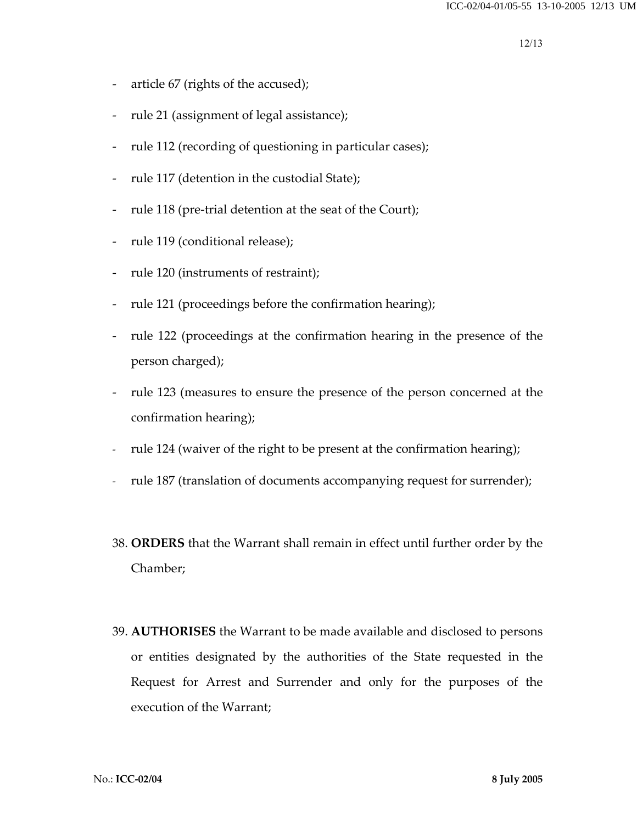- article 67 (rights of the accused);
- rule 21 (assignment of legal assistance);
- rule 112 (recording of questioning in particular cases);
- rule 117 (detention in the custodial State);
- rule 118 (pre-trial detention at the seat of the Court);
- rule 119 (conditional release);
- rule 120 (instruments of restraint);
- rule 121 (proceedings before the confirmation hearing);
- rule 122 (proceedings at the confirmation hearing in the presence of the person charged);
- rule 123 (measures to ensure the presence of the person concerned at the confirmation hearing);
- rule 124 (waiver of the right to be present at the confirmation hearing);
- rule 187 (translation of documents accompanying request for surrender);
- 38. **ORDERS** that the Warrant shall remain in effect until further order by the Chamber;
- 39. **AUTHORISES** the Warrant to be made available and disclosed to persons or entities designated by the authorities of the State requested in the Request for Arrest and Surrender and only for the purposes of the execution of the Warrant;